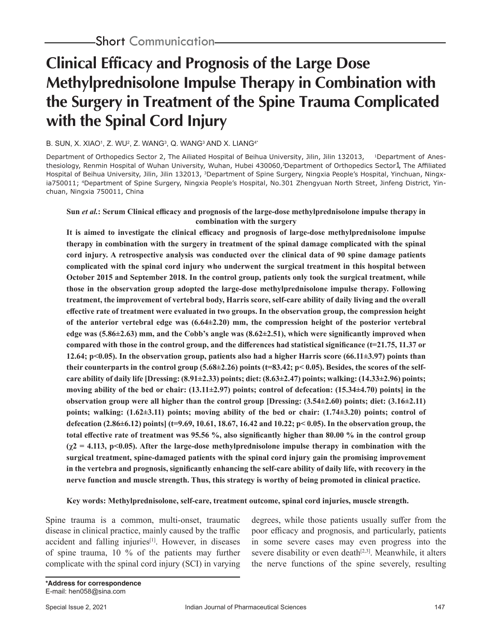# **Clinical Efficacy and Prognosis of the Large Dose Methylprednisolone Impulse Therapy in Combination with the Surgery in Treatment of the Spine Trauma Complicated with the Spinal Cord Injury**

## B. SUN, X. XIAO<sup>1</sup>, Z. WU<sup>2</sup>, Z. WANG<sup>3</sup>, Q. WANG<sup>3</sup> AND X. LIANG<sup>4\*</sup>

Department of Orthopedics Sector 2, The Ailiated Hospital of Beihua University, Jilin, Jilin 132013, <sup>1</sup>Department of Anesthesiology, Renmin Hospital of Wuhan University, Wuhan, Hubei 430060, Department of Orthopedics Sector1, The Affiliated Hospital of Beihua University, Jilin, Jilin 132013, <sup>3</sup>Department of Spine Surgery, Ningxia People's Hospital, Yinchuan, Ningxia750011; 4Department of Spine Surgery, Ningxia People's Hospital, No.301 Zhengyuan North Street, Jinfeng District, Yinchuan, Ningxia 750011, China

## **Sun** *et al.***: Serum Clinical efficacy and prognosis of the large-dose methylprednisolone impulse therapy in combination with the surgery**

**It is aimed to investigate the clinical efficacy and prognosis of large-dose methylprednisolone impulse therapy in combination with the surgery in treatment of the spinal damage complicated with the spinal cord injury. A retrospective analysis was conducted over the clinical data of 90 spine damage patients complicated with the spinal cord injury who underwent the surgical treatment in this hospital between October 2015 and September 2018. In the control group, patients only took the surgical treatment, while those in the observation group adopted the large-dose methylprednisolone impulse therapy. Following treatment, the improvement of vertebral body, Harris score, self-care ability of daily living and the overall effective rate of treatment were evaluated in two groups. In the observation group, the compression height of the anterior vertebral edge was (6.64±2.20) mm, the compression height of the posterior vertebral edge was (5.86±2.63) mm, and the Cobb's angle was (8.62±2.51), which were significantly improved when compared with those in the control group, and the differences had statistical significance (t=21.75, 11.37 or 12.64; p<0.05). In the observation group, patients also had a higher Harris score (66.11±3.97) points than their counterparts in the control group (5.68±2.26) points (t=83.42; p< 0.05). Besides, the scores of the selfcare ability of daily life [Dressing: (8.91±2.33) points; diet: (8.63±2.47) points; walking: (14.33±2.96) points; moving ability of the bed or chair: (13.11±2.97) points; control of defecation: (15.34±4.70) points] in the observation group were all higher than the control group [Dressing: (3.54±2.60) points; diet: (3.16±2.11) points; walking: (1.62±3.11) points; moving ability of the bed or chair: (1.74±3.20) points; control of defecation (2.86±6.12) points] (t=9.69, 10.61, 18.67, 16.42 and 10.22; p< 0.05). In the observation group, the total effective rate of treatment was 95.56 %, also significantly higher than 80.00 % in the control group**   $(\chi^2 = 4.113, \text{ p} < 0.05)$ . After the large-dose methylprednisolone impulse therapy in combination with the **surgical treatment, spine-damaged patients with the spinal cord injury gain the promising improvement in the vertebra and prognosis, significantly enhancing the self-care ability of daily life, with recovery in the nerve function and muscle strength. Thus, this strategy is worthy of being promoted in clinical practice.** 

# **Key words: Methylprednisolone, self-care, treatment outcome, spinal cord injuries, muscle strength.**

Spine trauma is a common, multi-onset, traumatic disease in clinical practice, mainly caused by the traffic accident and falling injuries $[1]$ . However, in diseases of spine trauma, 10 % of the patients may further complicate with the spinal cord injury (SCI) in varying

degrees, while those patients usually suffer from the poor efficacy and prognosis, and particularly, patients in some severe cases may even progress into the severe disability or even death<sup>[2,3]</sup>. Meanwhile, it alters the nerve functions of the spine severely, resulting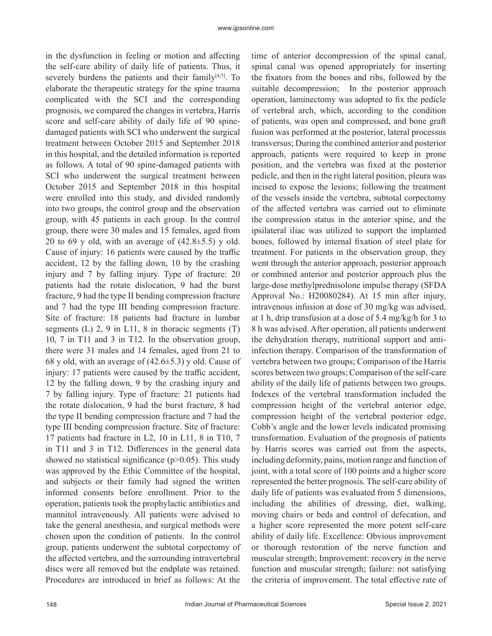in the dysfunction in feeling or motion and affecting the self-care ability of daily life of patients. Thus, it severely burdens the patients and their family $[4,5]$ . To elaborate the therapeutic strategy for the spine trauma complicated with the SCI and the corresponding prognosis, we compared the changes in vertebra, Harris score and self-care ability of daily life of 90 spinedamaged patients with SCI who underwent the surgical treatment between October 2015 and September 2018 in this hospital, and the detailed information is reported as follows. A total of 90 spine-damaged patients with SCI who underwent the surgical treatment between October 2015 and September 2018 in this hospital were enrolled into this study, and divided randomly into two groups, the control group and the observation group, with 45 patients in each group. In the control group, there were 30 males and 15 females, aged from 20 to 69 y old, with an average of  $(42.8\pm5.5)$  y old. Cause of injury: 16 patients were caused by the traffic accident, 12 by the falling down, 10 by the crashing injury and 7 by falling injury. Type of fracture: 20 patients had the rotate dislocation, 9 had the burst fracture, 9 had the type II bending compression fracture and 7 had the type III bending compression fracture. Site of fracture: 18 patients had fracture in lumbar segments (L) 2, 9 in L11, 8 in thoracic segments (T) 10, 7 in T11 and 3 in T12. In the observation group, there were 31 males and 14 females, aged from 21 to 68 y old, with an average of  $(42.6\pm5.3)$  y old. Cause of injury: 17 patients were caused by the traffic accident, 12 by the falling down, 9 by the crashing injury and 7 by falling injury. Type of fracture: 21 patients had the rotate dislocation, 9 had the burst fracture, 8 had the type II bending compression fracture and 7 had the type III bending compression fracture. Site of fracture: 17 patients had fracture in L2, 10 in L11, 8 in T10, 7 in T11 and 3 in T12. Differences in the general data showed no statistical significance  $(p>0.05)$ . This study was approved by the Ethic Committee of the hospital, and subjects or their family had signed the written informed consents before enrollment. Prior to the operation, patients took the prophylactic antibiotics and mannitol intravenously. All patients were advised to take the general anesthesia, and surgical methods were chosen upon the condition of patients. In the control group, patients underwent the subtotal corpectomy of the affected vertebra, and the surrounding intravertebral discs were all removed but the endplate was retained. Procedures are introduced in brief as follows: At the time of anterior decompression of the spinal canal, spinal canal was opened appropriately for inserting the fixators from the bones and ribs, followed by the suitable decompression; In the posterior approach operation, laminectomy was adopted to fix the pedicle of vertebral arch, which, according to the condition of patients, was open and compressed, and bone graft fusion was performed at the posterior, lateral processus transversus; During the combined anterior and posterior approach, patients were required to keep in prone position, and the vertebra was fixed at the posterior pedicle, and then in the right lateral position, pleura was incised to expose the lesions; following the treatment of the vessels inside the vertebra, subtotal corpectomy of the affected vertebra was carried out to eliminate the compression status in the anterior spine, and the ipsilateral iliac was utilized to support the implanted bones, followed by internal fixation of steel plate for treatment. For patients in the observation group, they went through the anterior approach, posterior approach or combined anterior and posterior approach plus the large-dose methylprednisolone impulse therapy (SFDA Approval No.: H20080284). At 15 min after injury, intravenous infusion at dose of 30 mg/kg was advised, at 1 h, drip transfusion at a dose of 5.4 mg/kg/h for 3 to 8 h was advised. After operation, all patients underwent the dehydration therapy, nutritional support and antiinfection therapy. Comparison of the transformation of vertebra between two groups; Comparison of the Harris scores between two groups; Comparison of the self-care ability of the daily life of patients between two groups. Indexes of the vertebral transformation included the compression height of the vertebral anterior edge, compression height of the vertebral posterior edge, Cobb's angle and the lower levels indicated promising transformation. Evaluation of the prognosis of patients by Harris scores was carried out from the aspects, including deformity, pains, motion range and function of joint, with a total score of 100 points and a higher score represented the better prognosis. The self-care ability of daily life of patients was evaluated from 5 dimensions, including the abilities of dressing, diet, walking, moving chairs or beds and control of defecation, and a higher score represented the more potent self-care ability of daily life. Excellence: Obvious improvement or thorough restoration of the nerve function and muscular strength; Improvement: recovery in the nerve function and muscular strength; failure: not satisfying the criteria of improvement. The total effective rate of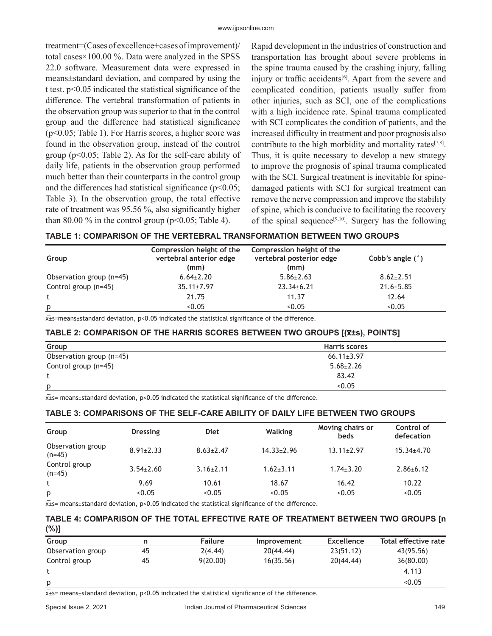treatment=(Cases of excellence+cases of improvement)/ total cases×100.00 %. Data were analyzed in the SPSS 22.0 software. Measurement data were expressed in means±standard deviation, and compared by using the t test. p<0.05 indicated the statistical significance of the difference. The vertebral transformation of patients in the observation group was superior to that in the control group and the difference had statistical significance (p<0.05; Table 1). For Harris scores, a higher score was found in the observation group, instead of the control group (p<0.05; Table 2). As for the self-care ability of daily life, patients in the observation group performed much better than their counterparts in the control group and the differences had statistical significance ( $p$ <0.05; Table 3). In the observation group, the total effective rate of treatment was 95.56 %, also significantly higher than 80.00 % in the control group ( $p<0.05$ ; Table 4).

Rapid development in the industries of construction and transportation has brought about severe problems in the spine trauma caused by the crashing injury, falling injury or traffic accidents<sup>[6]</sup>. Apart from the severe and complicated condition, patients usually suffer from other injuries, such as SCI, one of the complications with a high incidence rate. Spinal trauma complicated with SCI complicates the condition of patients, and the increased difficulty in treatment and poor prognosis also contribute to the high morbidity and mortality rates $[7,8]$ . Thus, it is quite necessary to develop a new strategy to improve the prognosis of spinal trauma complicated with the SCI. Surgical treatment is inevitable for spinedamaged patients with SCI for surgical treatment can remove the nerve compression and improve the stability of spine, which is conducive to facilitating the recovery of the spinal sequence<sup>[9,10]</sup>. Surgery has the following

| Group                    | Compression height of the<br>vertebral anterior edge<br>(mm) | Compression height of the<br>vertebral posterior edge<br>(mm) | Cobb's angle $(°)$ |
|--------------------------|--------------------------------------------------------------|---------------------------------------------------------------|--------------------|
| Observation group (n=45) | $6.64 \pm 2.20$                                              | $5.86 \pm 2.63$                                               | $8.62 \pm 2.51$    |
| Control group (n=45)     | $35.11 \pm 7.97$                                             | $23.34 \pm 6.21$                                              | $21.6 \pm 5.85$    |
|                          | 21.75                                                        | 11.37                                                         | 12.64              |
| p                        | < 0.05                                                       | < 0.05                                                        | < 0.05             |

 $\bar{x}$ ±s=means±standard deviation, p<0.05 indicated the statistical significance of the difference.

## **TABLE 2: COMPARISON OF THE HARRIS SCORES BETWEEN TWO GROUPS [(x̅±s), POINTS]**

| Group                    | <b>Harris scores</b> |
|--------------------------|----------------------|
| Observation group (n=45) | $66.11 \pm 3.97$     |
| Control group (n=45)     | $5.68 \pm 2.26$      |
|                          | 83.42                |
| p                        | < 0.05               |

 $x_{\pm}$ s= means±standard deviation, p<0.05 indicated the statistical significance of the difference.

#### **TABLE 3: COMPARISONS OF THE SELF-CARE ABILITY OF DAILY LIFE BETWEEN TWO GROUPS**

| Group                         | <b>Dressing</b> | <b>Diet</b>     | <b>Walking</b>   | Moving chairs or<br>beds | Control of<br>defecation |
|-------------------------------|-----------------|-----------------|------------------|--------------------------|--------------------------|
| Observation group<br>$(n=45)$ | $8.91 \pm 2.33$ | $8.63 \pm 2.47$ | $14.33 \pm 2.96$ | $13.11 \pm 2.97$         | $15.34{\pm}4.70$         |
| Control group<br>$(n=45)$     | $3.54 \pm 2.60$ | $3.16 \pm 2.11$ | $1.62 \pm 3.11$  | $1.74 \pm 3.20$          | $2.86 \pm 6.12$          |
|                               | 9.69            | 10.61           | 18.67            | 16.42                    | 10.22                    |
| р                             | < 0.05          | < 0.05          | < 0.05           | < 0.05                   | < 0.05                   |

 $x$ <sup> $±$ </sup>s= means±standard deviation, p<0.05 indicated the statistical significance of the difference.

### **TABLE 4: COMPARISON OF THE TOTAL EFFECTIVE RATE OF TREATMENT BETWEEN TWO GROUPS [n (%)]**

| Group             |    | <b>Failure</b> | Improvement | <b>Excellence</b> | Total effective rate |
|-------------------|----|----------------|-------------|-------------------|----------------------|
| Observation group | 45 | 2(4.44)        | 20(44.44)   | 23(51.12)         | 43(95.56)            |
| Control group     | 45 | 9(20.00)       | 16(35.56)   | 20(44.44)         | 36(80.00)            |
|                   |    |                |             |                   | 4.113                |
| p                 |    |                |             |                   | < 0.05               |
| $\sim$            |    |                |             |                   |                      |

 $\overline{x}$ ±s= means±standard deviation, p<0.05 indicated the statistical significance of the difference.